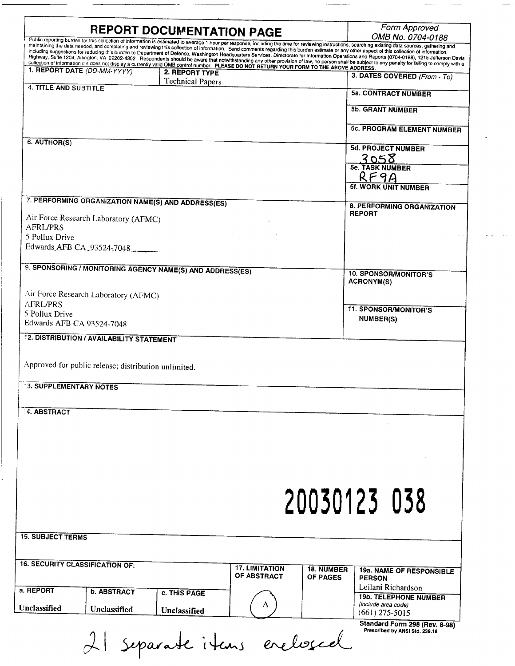| <b>REPORT DOCUMENTATION PAGE</b>                                                                      | Form Approved<br>OMB No. 0704-0188                                                                                                                                                                                                                                                                                                                                                                     |                                                                 |
|-------------------------------------------------------------------------------------------------------|--------------------------------------------------------------------------------------------------------------------------------------------------------------------------------------------------------------------------------------------------------------------------------------------------------------------------------------------------------------------------------------------------------|-----------------------------------------------------------------|
|                                                                                                       | Public reporting burden for this collection of information is estimated to average 1 hour per response, including the time for reviewing instructions, searching existing data sources, gathering and<br>maintaining the data needed, and completing and reviewing this collection of information. Send comments regarding this burden estimate or any other aspect of this collection of information, |                                                                 |
|                                                                                                       | including suggestions for reducing this burden to Department of Defense, Washington Headquarters Services, Directorate for Information Operations and Reports (0704-0188), 1215 Jefferson Davis<br>Highway, Suite 1204, Arlington, VA 22202-4302. Respondents should be aware that notwithstanding any other provision of law, no person shall be subject to any penalty for failing to comply with a  |                                                                 |
| 1. REPORT DATE (DD-MM-YYYY)                                                                           | collection of information if it does not display a currently valid OMB control number. PLEASE DO NOT RETURN YOUR FORM TO THE ABOVE ADDRESS.<br>2. REPORT TYPE                                                                                                                                                                                                                                          |                                                                 |
|                                                                                                       | <b>Technical Papers</b>                                                                                                                                                                                                                                                                                                                                                                                | 3. DATES COVERED (From - To)                                    |
| <b>4. TITLE AND SUBTITLE</b>                                                                          |                                                                                                                                                                                                                                                                                                                                                                                                        | <b>5a. CONTRACT NUMBER</b>                                      |
|                                                                                                       |                                                                                                                                                                                                                                                                                                                                                                                                        |                                                                 |
|                                                                                                       |                                                                                                                                                                                                                                                                                                                                                                                                        | <b>5b. GRANT NUMBER</b>                                         |
|                                                                                                       |                                                                                                                                                                                                                                                                                                                                                                                                        | <b>5c. PROGRAM ELEMENT NUMBER</b>                               |
|                                                                                                       |                                                                                                                                                                                                                                                                                                                                                                                                        |                                                                 |
| 6. AUTHOR(S)                                                                                          |                                                                                                                                                                                                                                                                                                                                                                                                        | <b>5d. PROJECT NUMBER</b>                                       |
|                                                                                                       |                                                                                                                                                                                                                                                                                                                                                                                                        | 3058<br>Se. TASK NUMBER                                         |
|                                                                                                       |                                                                                                                                                                                                                                                                                                                                                                                                        |                                                                 |
|                                                                                                       |                                                                                                                                                                                                                                                                                                                                                                                                        | RF9A                                                            |
|                                                                                                       |                                                                                                                                                                                                                                                                                                                                                                                                        | <b>5f. WORK UNIT NUMBER</b>                                     |
| 7. PERFORMING ORGANIZATION NAME(S) AND ADDRESS(ES)                                                    |                                                                                                                                                                                                                                                                                                                                                                                                        | 8. PERFORMING ORGANIZATION                                      |
| Air Force Research Laboratory (AFMC)                                                                  |                                                                                                                                                                                                                                                                                                                                                                                                        | <b>REPORT</b>                                                   |
| <b>AFRL/PRS</b>                                                                                       |                                                                                                                                                                                                                                                                                                                                                                                                        |                                                                 |
| 5 Pollux Drive                                                                                        |                                                                                                                                                                                                                                                                                                                                                                                                        |                                                                 |
| Edwards AFB CA 93524-7048                                                                             |                                                                                                                                                                                                                                                                                                                                                                                                        |                                                                 |
|                                                                                                       |                                                                                                                                                                                                                                                                                                                                                                                                        |                                                                 |
| 9. SPONSORING / MONITORING AGENCY NAME(S) AND ADDRESS(ES)                                             |                                                                                                                                                                                                                                                                                                                                                                                                        | <b>10. SPONSOR/MONITOR'S</b>                                    |
|                                                                                                       |                                                                                                                                                                                                                                                                                                                                                                                                        | <b>ACRONYM(S)</b>                                               |
| Air Force Research Laboratory (AFMC)                                                                  |                                                                                                                                                                                                                                                                                                                                                                                                        |                                                                 |
| <b>AFRL/PRS</b>                                                                                       |                                                                                                                                                                                                                                                                                                                                                                                                        | <b>11. SPONSOR/MONITOR'S</b>                                    |
| 5 Pollux Drive<br>Edwards AFB CA 93524-7048                                                           |                                                                                                                                                                                                                                                                                                                                                                                                        | <b>NUMBER(S)</b>                                                |
| <b>12. DISTRIBUTION / AVAILABILITY STATEMENT</b>                                                      |                                                                                                                                                                                                                                                                                                                                                                                                        |                                                                 |
| Approved for public release; distribution unlimited.<br><b>3. SUPPLEMENTARY NOTES</b>                 |                                                                                                                                                                                                                                                                                                                                                                                                        |                                                                 |
|                                                                                                       |                                                                                                                                                                                                                                                                                                                                                                                                        |                                                                 |
| <b>14. ABSTRACT</b>                                                                                   |                                                                                                                                                                                                                                                                                                                                                                                                        |                                                                 |
|                                                                                                       |                                                                                                                                                                                                                                                                                                                                                                                                        |                                                                 |
|                                                                                                       |                                                                                                                                                                                                                                                                                                                                                                                                        |                                                                 |
|                                                                                                       |                                                                                                                                                                                                                                                                                                                                                                                                        |                                                                 |
|                                                                                                       |                                                                                                                                                                                                                                                                                                                                                                                                        |                                                                 |
|                                                                                                       |                                                                                                                                                                                                                                                                                                                                                                                                        |                                                                 |
|                                                                                                       |                                                                                                                                                                                                                                                                                                                                                                                                        |                                                                 |
|                                                                                                       |                                                                                                                                                                                                                                                                                                                                                                                                        |                                                                 |
|                                                                                                       |                                                                                                                                                                                                                                                                                                                                                                                                        |                                                                 |
|                                                                                                       |                                                                                                                                                                                                                                                                                                                                                                                                        |                                                                 |
|                                                                                                       |                                                                                                                                                                                                                                                                                                                                                                                                        | 20030123 038                                                    |
|                                                                                                       |                                                                                                                                                                                                                                                                                                                                                                                                        |                                                                 |
|                                                                                                       |                                                                                                                                                                                                                                                                                                                                                                                                        |                                                                 |
|                                                                                                       |                                                                                                                                                                                                                                                                                                                                                                                                        |                                                                 |
|                                                                                                       |                                                                                                                                                                                                                                                                                                                                                                                                        |                                                                 |
|                                                                                                       | <b>17. LIMITATION</b>                                                                                                                                                                                                                                                                                                                                                                                  | <b>18. NUMBER</b><br>19a. NAME OF RESPONSIBLE                   |
|                                                                                                       | OF ABSTRACT                                                                                                                                                                                                                                                                                                                                                                                            | OF PAGES<br><b>PERSON</b>                                       |
| <b>15. SUBJECT TERMS</b><br><b>16. SECURITY CLASSIFICATION OF:</b><br>a. REPORT<br><b>b. ABSTRACT</b> | c. THIS PAGE                                                                                                                                                                                                                                                                                                                                                                                           | Leilani Richardson                                              |
| <b>Unclassified</b>                                                                                   |                                                                                                                                                                                                                                                                                                                                                                                                        | <b>19b. TELEPHONE NUMBER</b><br>(include area code)             |
| Unclassified                                                                                          | Unclassified                                                                                                                                                                                                                                                                                                                                                                                           | $(661)$ 275-5015                                                |
|                                                                                                       | 21 separate items enclosed                                                                                                                                                                                                                                                                                                                                                                             | Standard Form 298 (Rev. 8-98)<br>Prescribed by ANSI Std. 239.18 |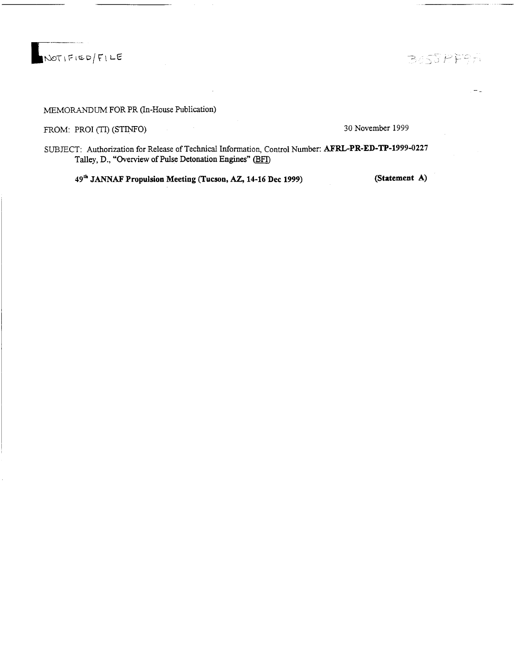**I**tOoTlFiS-o/fl L£

MEMORANDUM FOR PR (In-House Publication)

FROM: PROI (TI) (STINFO) 30 November 1999

SUBJECT: Authorization for Release of Technical Information, Control Number: **AFRL-PR-ED-TP-1999-0227 Talley, D., "Overview ofPulse Detonation Engines" (BFT)**

**49"" JANNAF Propulsion Meeting (Tucson, AZ, 14-16 Dec 1999) (Statement A)**

BOSSPERA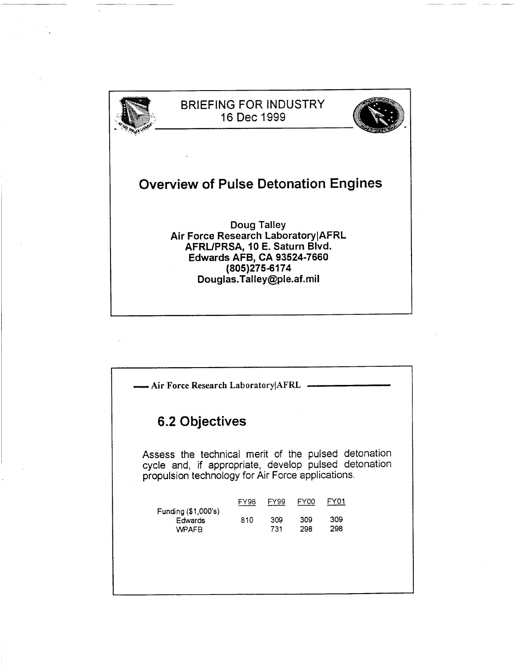

| Air Force Research Laboratory AFRL                                                                                                                               |      |            |            |            |  |  |
|------------------------------------------------------------------------------------------------------------------------------------------------------------------|------|------------|------------|------------|--|--|
| 6.2 Objectives                                                                                                                                                   |      |            |            |            |  |  |
| Assess the technical merit of the pulsed detonation<br>cycle and, if appropriate, develop pulsed detonation<br>propulsion technology for Air Force applications. |      |            |            |            |  |  |
|                                                                                                                                                                  | FY98 | FY99       | FY00       | FY01       |  |  |
| Funding (\$1,000's)<br>Edwards<br><b>WPAFB</b>                                                                                                                   | 810  | 309<br>731 | 309<br>298 | 309<br>298 |  |  |
|                                                                                                                                                                  |      |            |            |            |  |  |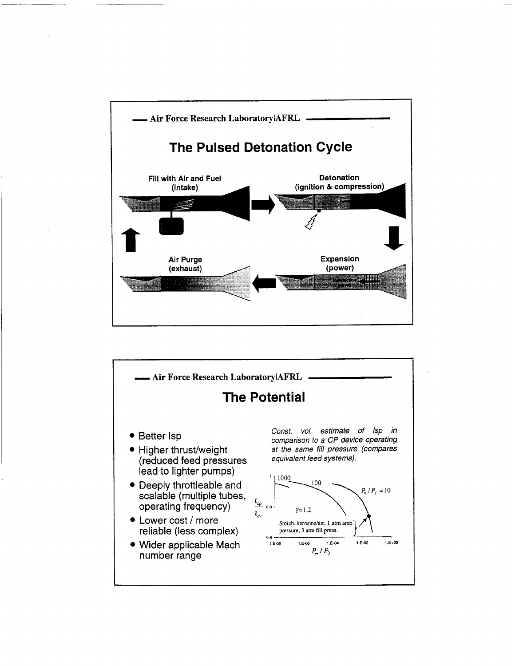

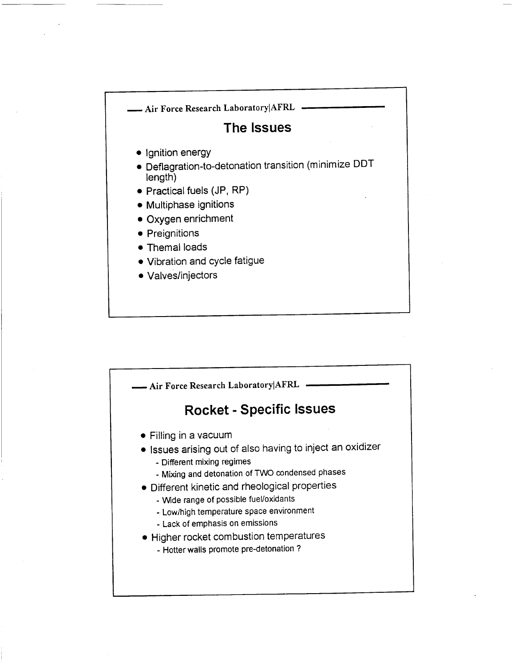

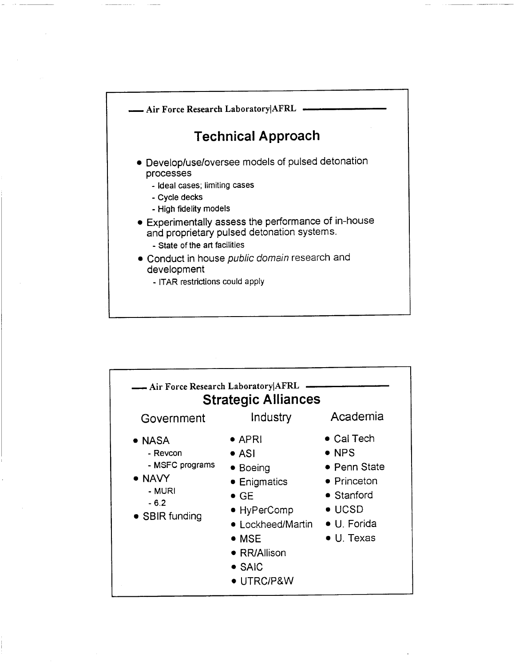

| - Air Force Research Laboratory AFRL<br><b>Strategic Alliances</b>                            |                                                                                                                                                                                          |                                                                                                                                                 |  |  |  |
|-----------------------------------------------------------------------------------------------|------------------------------------------------------------------------------------------------------------------------------------------------------------------------------------------|-------------------------------------------------------------------------------------------------------------------------------------------------|--|--|--|
| Government                                                                                    | Industry                                                                                                                                                                                 | Academia                                                                                                                                        |  |  |  |
| • NASA<br>- Revcon<br>- MSFC programs<br>$\bullet$ NAVY<br>- MURI<br>$-6.2$<br>• SBIR funding | $\bullet$ APRI<br>$\bullet$ ASI<br>• Boeing<br>• Enigmatics<br>$\bullet$ GE<br>• HyPerComp<br>• Lockheed/Martin<br>$\bullet$ MSE<br>• RR/Allison<br>$\bullet$ SAIC<br>$\bullet$ UTRC/P&W | $\bullet$ Cal Tech<br>$\bullet$ NPS<br>• Penn State<br>• Princeton<br>$\bullet$ Stanford<br>$\bullet$ UCSD<br>• U. Forida<br>$\bullet$ U. Texas |  |  |  |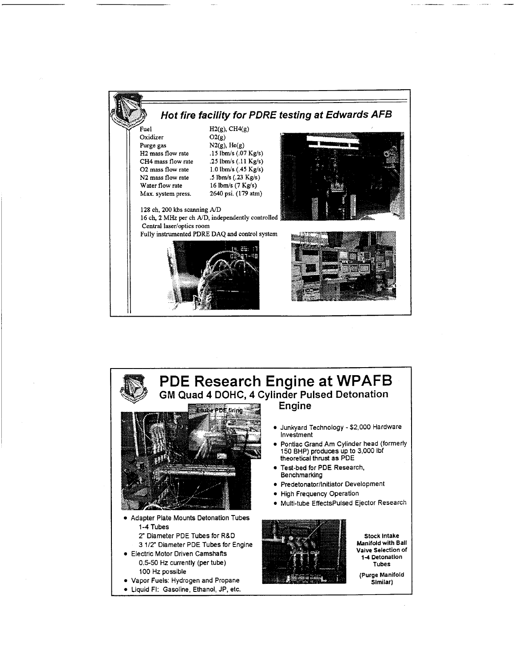

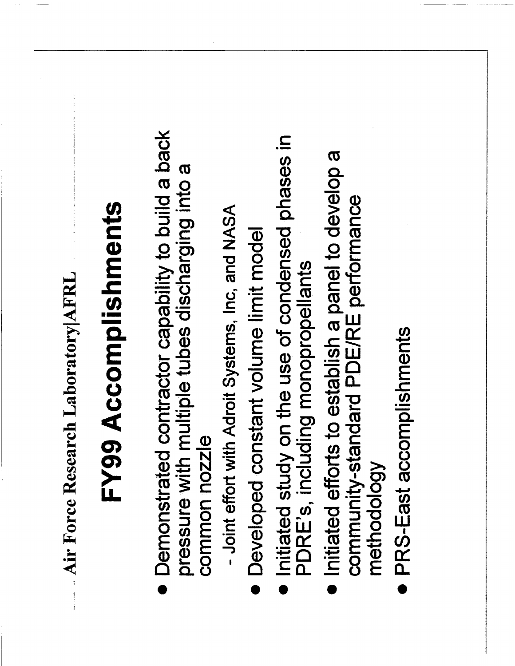Air Force Research Laboratory AFRL

## FY99 Accomplishments

- Demonstrated contractor capability to build a back pressure with multiple tubes discharging into a common nozzle
- Joint effort with Adroit Systems, Inc, and NASA
- Developed constant volume limit model
- Initiated study on the use of condensed phases in PDRE's, including monopropellants
	- Initiated efforts to establish a panel to develop a community-standard PDE/RE performance methodology
- **PRS-East accomplishments**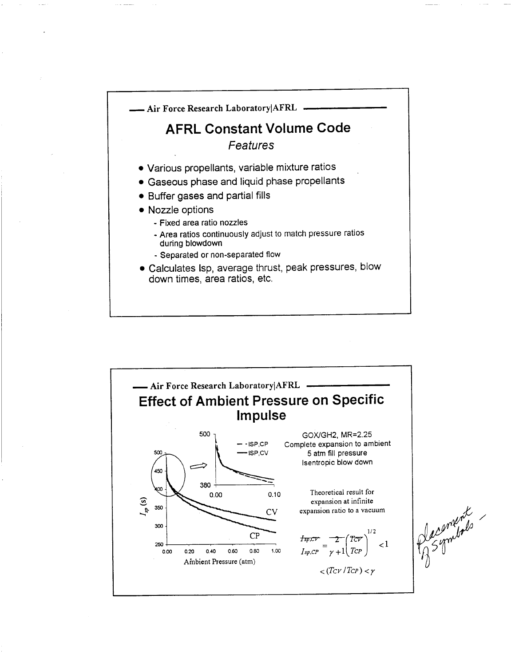

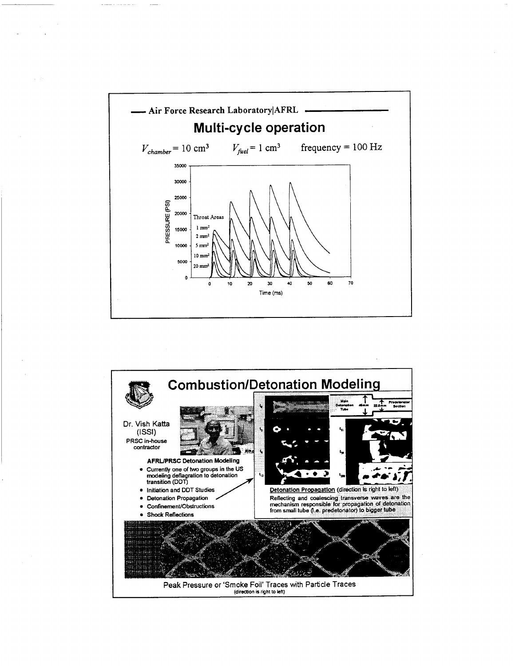

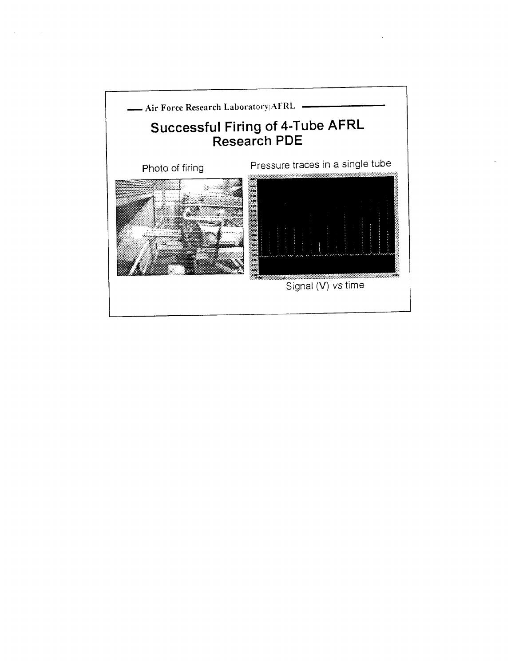

 $\sim$ 

 $\sim$   $\sim$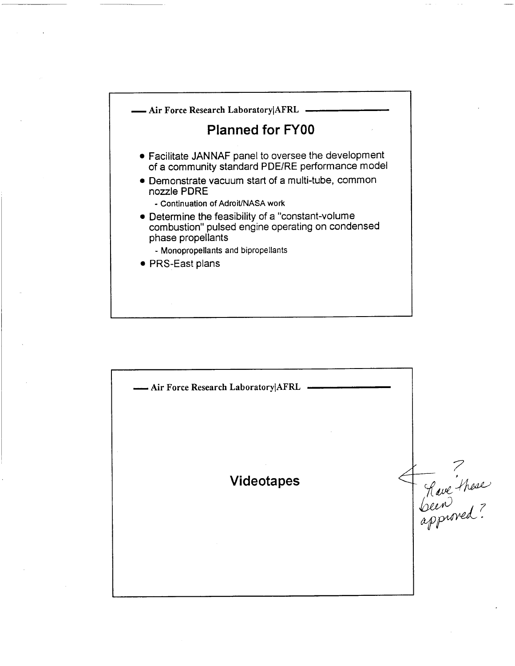